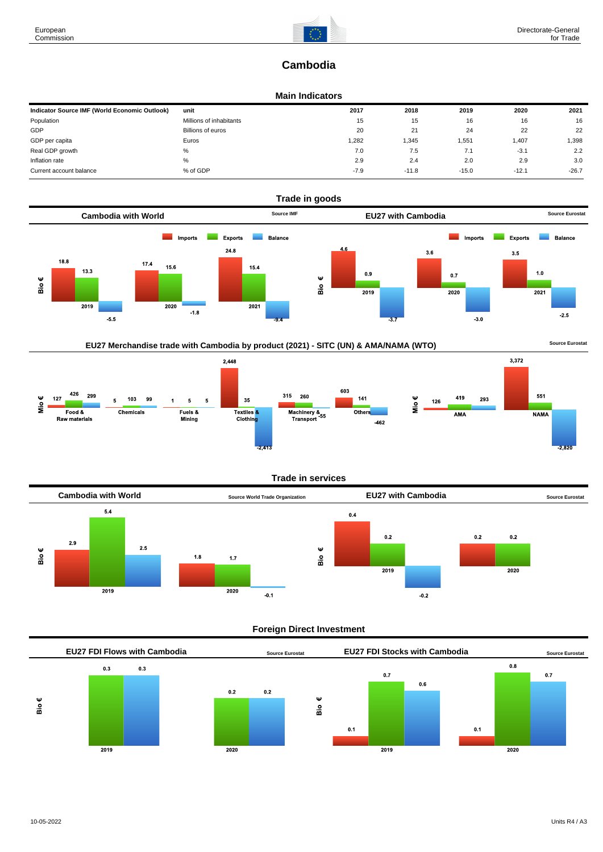# **Cambodia**

#### **Main Indicators**

| Indicator Source IMF (World Economic Outlook) | unit                    | 2017   | 2018    | 2019    | 2020    | 2021    |
|-----------------------------------------------|-------------------------|--------|---------|---------|---------|---------|
| Population                                    | Millions of inhabitants | 15     | 15      | 16      | 16      | 16      |
| GDP                                           | Billions of euros       | 20     | 21      | 24      | 22      | 22      |
| GDP per capita                                | Euros                   | 1,282  | 1,345   | 1,551   | 1,407   | 1,398   |
| Real GDP growth                               | %                       | 7.0    | 7.5     | 7.1     | $-3.1$  | 2.2     |
| Inflation rate                                | %                       | 2.9    | 2.4     | 2.0     | 2.9     | 3.0     |
| Current account balance                       | % of GDP                | $-7.9$ | $-11.8$ | $-15.0$ | $-12.1$ | $-26.7$ |



# EU27 Merchandise trade with Cambodia by product (2021) - SITC (UN) & AMA/NAMA (WTO) **SOULD A SOUTCE EUROSTAT**

 $2,448$ 3,372 603 426  $315$ 551 299 260 419  $141$ Mio€ 127 103 99 35 293 5 5  $\overline{5}$ 126  $\frac{6}{5}$ Textiles<sup>8</sup><br>Clothing Machinery &<br>Transport<sup>-55</sup> Fuels &<br>Mining Food & Chemicals Others AMA **NAMA Raw materials**  $-462$ 

## **Trade in services**



#### **Foreign Direct Investment**